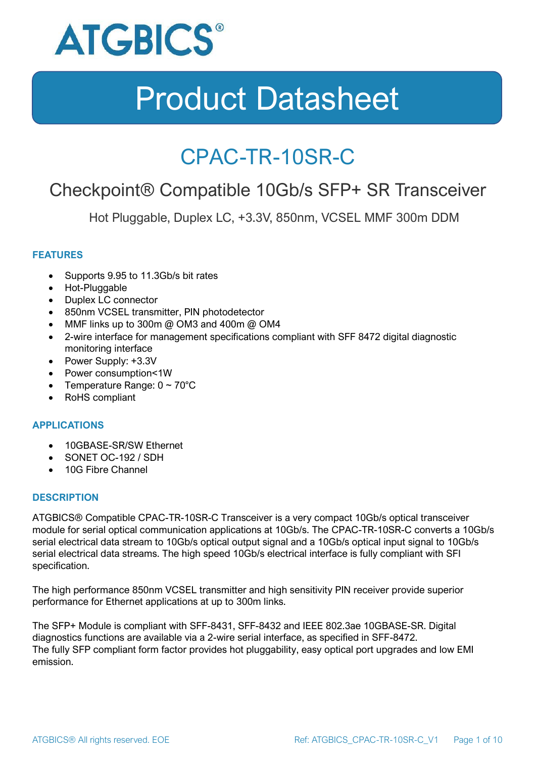

### CPAC-TR-10SR-C

### Checkpoint® Compatible 10Gb/s SFP+ SR Transceiver

Hot Pluggable, Duplex LC, +3.3V, 850nm, VCSEL MMF 300m DDM

### **FEATURES**

- Supports 9.95 to 11.3Gb/s bit rates
- Hot-Pluggable
- Duplex LC connector
- 850nm VCSEL transmitter, PIN photodetector
- MMF links up to 300m @ OM3 and 400m @ OM4
- 2-wire interface for management specifications compliant with SFF 8472 digital diagnostic monitoring interface
- Power Supply: +3.3V
- Power consumption<1W
- Temperature Range:  $0 \sim 70^{\circ}$ C
- RoHS compliant

#### **APPLICATIONS**

- 10GBASE-SR/SW Ethernet
- SONET OC-192 / SDH
- 10G Fibre Channel

#### **DESCRIPTION**

ATGBICS® Compatible CPAC-TR-10SR-C Transceiver is a very compact 10Gb/s optical transceiver module for serial optical communication applications at 10Gb/s. The CPAC-TR-10SR-C converts a 10Gb/s serial electrical data stream to 10Gb/s optical output signal and a 10Gb/s optical input signal to 10Gb/s serial electrical data streams. The high speed 10Gb/s electrical interface is fully compliant with SFI specification.

The high performance 850nm VCSEL transmitter and high sensitivity PIN receiver provide superior performance for Ethernet applications at up to 300m links.

The SFP+ Module is compliant with SFF-8431, SFF-8432 and IEEE 802.3ae 10GBASE-SR. Digital diagnostics functions are available via a 2-wire serial interface, as specified in SFF-8472. The fully SFP compliant form factor provides hot pluggability, easy optical port upgrades and low EMI emission.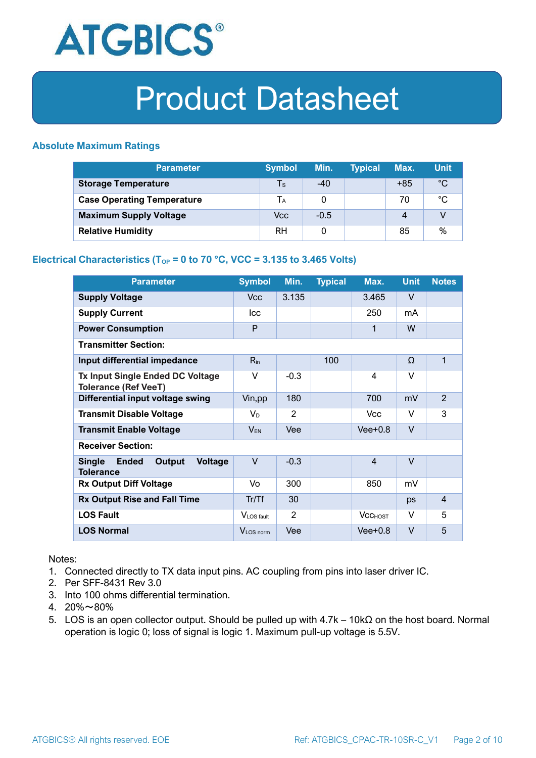

### **Absolute Maximum Ratings**

| <b>Parameter</b>                  | <b>Symbol</b> | Min.   | <b>Typical</b> | Max.  | <b>Unit</b> |
|-----------------------------------|---------------|--------|----------------|-------|-------------|
| <b>Storage Temperature</b>        | Ts            | $-40$  |                | $+85$ | $^{\circ}C$ |
| <b>Case Operating Temperature</b> | Tа            |        |                | 70    | °C          |
| <b>Maximum Supply Voltage</b>     | Vcc           | $-0.5$ |                | 4     |             |
| <b>Relative Humidity</b>          | RH            |        |                | 85    | %           |

### **Electrical Characteristics (T<sub>OP</sub> = 0 to 70 °C, VCC = 3.135 to 3.465 Volts)**

| <b>Parameter</b>                                                              | <b>Symbol</b>         | Min.   | <b>Typical</b> | Max.           | <b>Unit</b> | <b>Notes</b>   |
|-------------------------------------------------------------------------------|-----------------------|--------|----------------|----------------|-------------|----------------|
| <b>Supply Voltage</b>                                                         | V <sub>cc</sub>       | 3.135  |                | 3.465          | $\vee$      |                |
| <b>Supply Current</b>                                                         | <b>Icc</b>            |        |                | 250            | mA          |                |
| <b>Power Consumption</b>                                                      | P                     |        |                | 1              | W           |                |
| <b>Transmitter Section:</b>                                                   |                       |        |                |                |             |                |
| Input differential impedance                                                  | $R_{in}$              |        | 100            |                | Ω           | 1              |
| <b>Tx Input Single Ended DC Voltage</b><br><b>Tolerance (Ref VeeT)</b>        | $\vee$                | $-0.3$ |                | $\overline{4}$ | $\vee$      |                |
| Differential input voltage swing                                              | Vin, pp               | 180    |                | 700            | mV          | $\overline{2}$ |
| <b>Transmit Disable Voltage</b>                                               | $V_D$                 | 2      |                | <b>Vcc</b>     | $\vee$      | 3              |
| <b>Transmit Enable Voltage</b>                                                | $V_{EN}$              | Vee    |                | $Vee+0.8$      | $\vee$      |                |
| <b>Receiver Section:</b>                                                      |                       |        |                |                |             |                |
| <b>Single</b><br><b>Ended</b><br>Output<br><b>Voltage</b><br><b>Tolerance</b> | $\vee$                | $-0.3$ |                | $\overline{4}$ | $\vee$      |                |
| <b>Rx Output Diff Voltage</b>                                                 | Vo                    | 300    |                | 850            | mV          |                |
| <b>Rx Output Rise and Fall Time</b>                                           | Tr/Tf                 | 30     |                |                | ps          | $\overline{4}$ |
| <b>LOS Fault</b>                                                              | VLOS fault            | 2      |                | <b>VCCHOST</b> | V           | 5              |
| <b>LOS Normal</b>                                                             | V <sub>LOS</sub> norm | Vee    |                | $Vee+0.8$      | $\vee$      | 5              |

Notes:

- 1. Connected directly to TX data input pins. AC coupling from pins into laser driver IC.
- 2. Per SFF-8431 Rev 3.0
- 3. Into 100 ohms differential termination.
- 4. 20%~80%
- 5. LOS is an open collector output. Should be pulled up with 4.7k 10kΩ on the host board. Normal operation is logic 0; loss of signal is logic 1. Maximum pull-up voltage is 5.5V.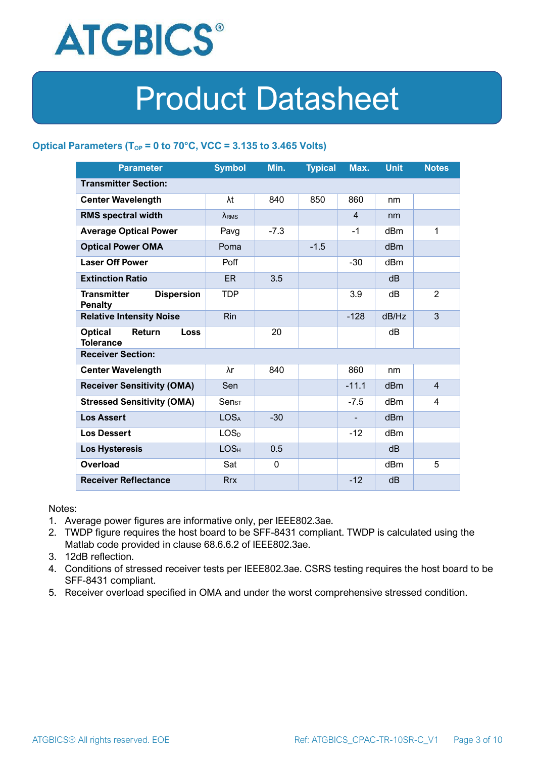

### **Optical Parameters** ( $T_{OP} = 0$  to 70°C, VCC = 3.135 to 3.465 Volts)

| <b>Parameter</b>                                            | <b>Symbol</b>                | Min.        | <b>Typical</b> | Max.           | <b>Unit</b>     | <b>Notes</b>   |
|-------------------------------------------------------------|------------------------------|-------------|----------------|----------------|-----------------|----------------|
| <b>Transmitter Section:</b>                                 |                              |             |                |                |                 |                |
| <b>Center Wavelength</b>                                    | λt                           | 840         | 850            | 860            | nm              |                |
| <b>RMS spectral width</b>                                   | $\lambda_{RMS}$              |             |                | $\overline{4}$ | nm              |                |
| <b>Average Optical Power</b>                                | Pavg                         | $-7.3$      |                | $-1$           | dBm             | 1              |
| <b>Optical Power OMA</b>                                    | Poma                         |             | $-1.5$         |                | dBm             |                |
| <b>Laser Off Power</b>                                      | Poff                         |             |                | $-30$          | dBm             |                |
| <b>Extinction Ratio</b>                                     | ER.                          | 3.5         |                |                | dB              |                |
| <b>Dispersion</b><br><b>Transmitter</b><br><b>Penalty</b>   | <b>TDP</b>                   |             |                | 3.9            | dB              | $\overline{2}$ |
| <b>Relative Intensity Noise</b>                             | <b>Rin</b>                   |             |                | $-128$         | dB/Hz           | 3              |
| <b>Optical</b><br>Return<br><b>Loss</b><br><b>Tolerance</b> |                              | 20          |                |                | dB              |                |
| <b>Receiver Section:</b>                                    |                              |             |                |                |                 |                |
| <b>Center Wavelength</b>                                    | λr                           | 840         |                | 860            | nm              |                |
| <b>Receiver Sensitivity (OMA)</b>                           | Sen                          |             |                | $-11.1$        | dB <sub>m</sub> | $\overline{4}$ |
| <b>Stressed Sensitivity (OMA)</b>                           | $\mathsf{Sen}_{\mathsf{ST}}$ |             |                | $-7.5$         | dB <sub>m</sub> | 4              |
| <b>Los Assert</b>                                           | <b>LOSA</b>                  | $-30$       |                |                | d <sub>Bm</sub> |                |
| <b>Los Dessert</b>                                          | LOS <sub>D</sub>             |             |                | $-12$          | dBm             |                |
| <b>Los Hysteresis</b>                                       | LOS <sub>H</sub>             | 0.5         |                |                | dB              |                |
| Overload                                                    | Sat                          | $\mathbf 0$ |                |                | dBm             | 5              |
| <b>Receiver Reflectance</b>                                 | <b>Rrx</b>                   |             |                | $-12$          | dB              |                |

Notes:

- 1. Average power figures are informative only, per IEEE802.3ae.
- 2. TWDP figure requires the host board to be SFF-8431 compliant. TWDP is calculated using the Matlab code provided in clause 68.6.6.2 of IEEE802.3ae.
- 3. 12dB reflection.
- 4. Conditions of stressed receiver tests per IEEE802.3ae. CSRS testing requires the host board to be SFF-8431 compliant.
- 5. Receiver overload specified in OMA and under the worst comprehensive stressed condition.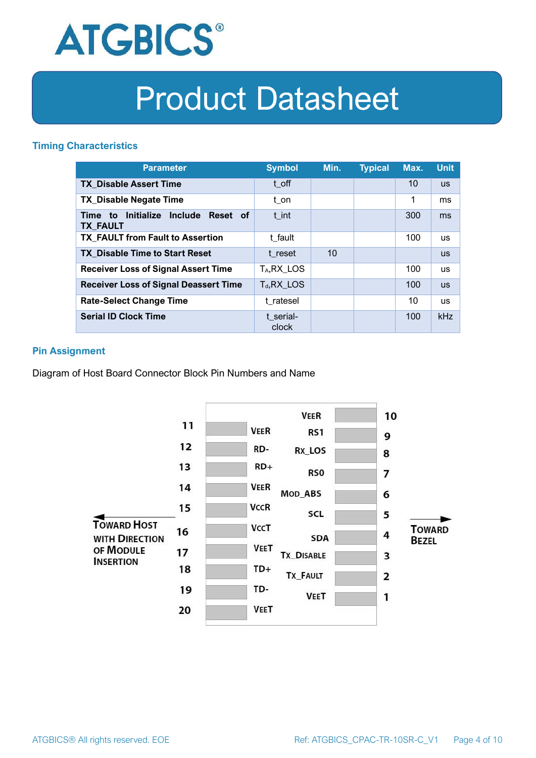

### **Timing Characteristics**

| <b>Parameter</b>                                                          | <b>Symbol</b>         | Min. | <b>Typical</b> | Max. | <b>Unit</b> |
|---------------------------------------------------------------------------|-----------------------|------|----------------|------|-------------|
| <b>TX Disable Assert Time</b>                                             | t off                 |      |                | 10   | <b>US</b>   |
| <b>TX Disable Negate Time</b>                                             | t_on                  |      |                | 1    | ms          |
| Initialize<br><b>Include</b><br>Reset of<br>Time<br>to<br><b>TX FAULT</b> | t int                 |      |                | 300  | ms          |
| <b>TX FAULT from Fault to Assertion</b>                                   | t fault               |      |                | 100  | <b>us</b>   |
| <b>TX Disable Time to Start Reset</b>                                     | t reset               | 10   |                |      | <b>US</b>   |
| <b>Receiver Loss of Signal Assert Time</b>                                | T <sub>A</sub> RX LOS |      |                | 100  | <b>us</b>   |
| <b>Receiver Loss of Signal Deassert Time</b>                              | $T_d, RX$ LOS         |      |                | 100  | <b>US</b>   |
| <b>Rate-Select Change Time</b>                                            | t ratesel             |      |                | 10   | <b>us</b>   |
| <b>Serial ID Clock Time</b>                                               | t serial-<br>clock    |      |                | 100  | kHz         |

### **Pin Assignment**

Diagram of Host Board Connector Block Pin Numbers and Name

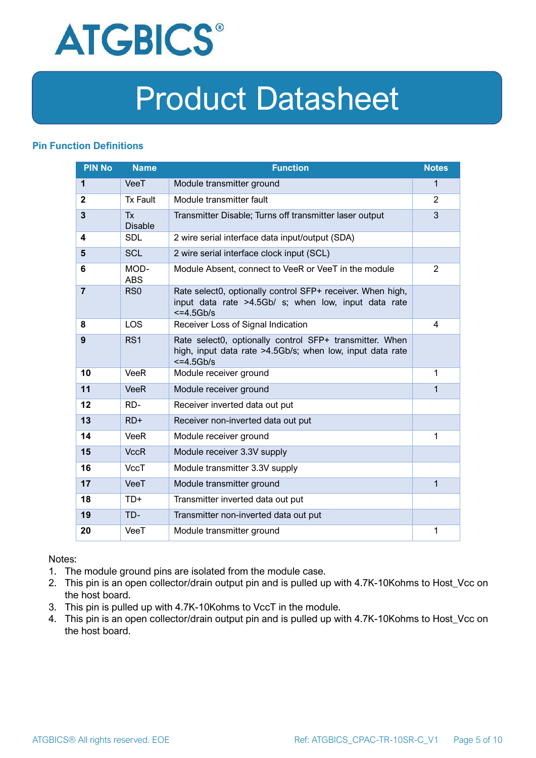

### **Pin Function Definitions**

| <b>PIN No</b>  | <b>Name</b>                 | <b>Function</b>                                                                                                                     | <b>Notes</b> |
|----------------|-----------------------------|-------------------------------------------------------------------------------------------------------------------------------------|--------------|
| 1              | VeeT                        | Module transmitter ground                                                                                                           | $\mathbf 1$  |
| $\mathbf{2}$   | <b>Tx Fault</b>             | Module transmitter fault                                                                                                            | 2            |
| $\overline{3}$ | <b>Tx</b><br><b>Disable</b> | Transmitter Disable; Turns off transmitter laser output                                                                             | 3            |
| 4              | <b>SDL</b>                  | 2 wire serial interface data input/output (SDA)                                                                                     |              |
| $5\phantom{1}$ | <b>SCL</b>                  | 2 wire serial interface clock input (SCL)                                                                                           |              |
| 6              | MOD-<br><b>ABS</b>          | Module Absent, connect to VeeR or VeeT in the module                                                                                | 2            |
| $\overline{7}$ | RS <sub>0</sub>             | Rate select0, optionally control SFP+ receiver. When high,<br>input data rate >4.5Gb/ s; when low, input data rate<br>$<=4.5Gb/s$   |              |
| 8              | <b>LOS</b>                  | Receiver Loss of Signal Indication                                                                                                  | 4            |
| 9              | RS <sub>1</sub>             | Rate select0, optionally control SFP+ transmitter. When<br>high, input data rate >4.5Gb/s; when low, input data rate<br>$<=4.5Gb/s$ |              |
| 10             | VeeR                        | Module receiver ground                                                                                                              | 1            |
| 11             | <b>VeeR</b>                 | Module receiver ground                                                                                                              | 1            |
| 12             | RD-                         | Receiver inverted data out put                                                                                                      |              |
| 13             | $RD+$                       | Receiver non-inverted data out put                                                                                                  |              |
| 14             | <b>VeeR</b>                 | Module receiver ground                                                                                                              | 1            |
| 15             | <b>VccR</b>                 | Module receiver 3.3V supply                                                                                                         |              |
| 16             | <b>VccT</b>                 | Module transmitter 3.3V supply                                                                                                      |              |
| 17             | VeeT                        | Module transmitter ground                                                                                                           | 1            |
| 18             | TD+                         | Transmitter inverted data out put                                                                                                   |              |
| 19             | TD-                         | Transmitter non-inverted data out put                                                                                               |              |
| 20             | VeeT                        | Module transmitter ground                                                                                                           | 1            |

Notes:

- 1. The module ground pins are isolated from the module case.
- 2. This pin is an open collector/drain output pin and is pulled up with 4.7K-10Kohms to Host\_Vcc on the host board.
- 3. This pin is pulled up with 4.7K-10Kohms to VccT in the module.
- 4. This pin is an open collector/drain output pin and is pulled up with 4.7K-10Kohms to Host Vcc on the host board.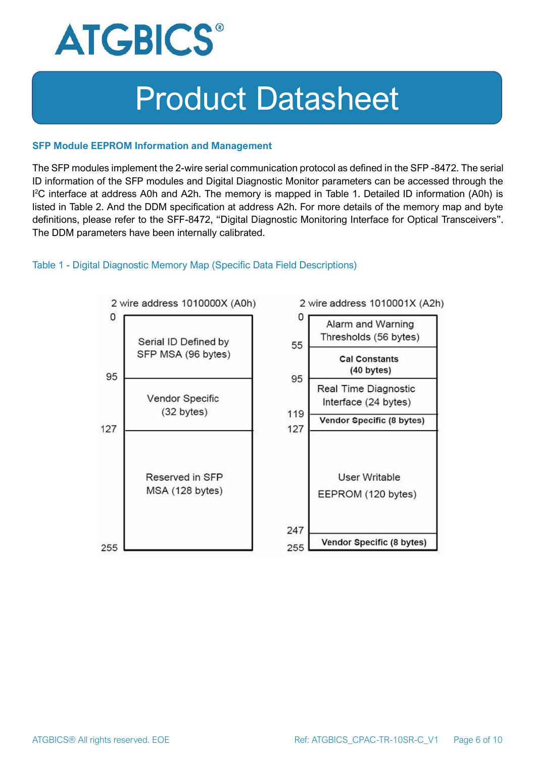

#### **SFP Module EEPROM Information and Management**

The SFP modules implement the 2-wire serial communication protocol as defined in the SFP -8472. The serial ID information of the SFP modules and Digital Diagnostic Monitor parameters can be accessed through the I <sup>2</sup>C interface at address A0h and A2h. The memory is mapped in Table 1. Detailed ID information (A0h) is listed in Table 2. And the DDM specification at address A2h. For more details of the memory map and byte definitions, please refer to the SFF-8472, "Digital Diagnostic Monitoring Interface for Optical Transceivers". The DDM parameters have been internally calibrated.

#### Table 1 - Digital Diagnostic Memory Map (Specific Data Field Descriptions)

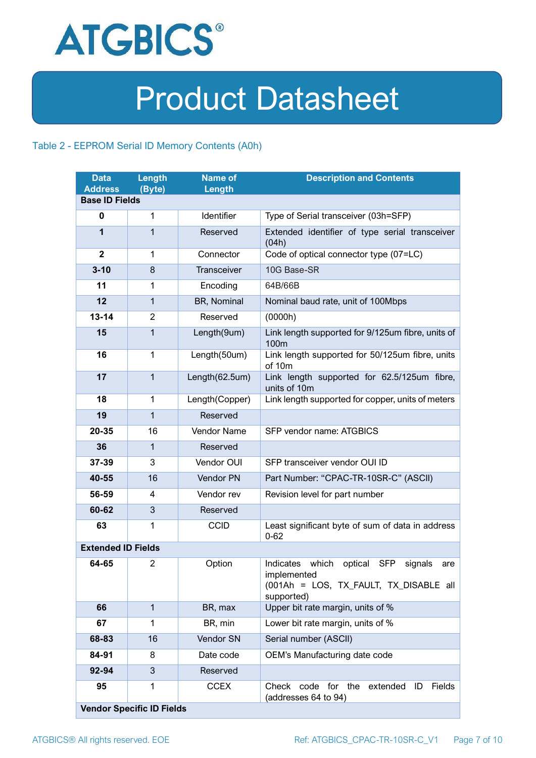

### Table 2 - EEPROM Serial ID Memory Contents (A0h)

| <b>Data</b><br><b>Address</b> | Length<br>(Byte)                 | <b>Name of</b><br>Length | <b>Description and Contents</b>                                                                                                   |
|-------------------------------|----------------------------------|--------------------------|-----------------------------------------------------------------------------------------------------------------------------------|
| <b>Base ID Fields</b>         |                                  |                          |                                                                                                                                   |
| $\mathbf 0$                   | 1                                | Identifier               | Type of Serial transceiver (03h=SFP)                                                                                              |
| 1                             | $\mathbf{1}$                     | Reserved                 | Extended identifier of type serial transceiver<br>(04h)                                                                           |
| $\mathbf{2}$                  | 1                                | Connector                | Code of optical connector type (07=LC)                                                                                            |
| $3 - 10$                      | 8                                | Transceiver              | 10G Base-SR                                                                                                                       |
| 11                            | 1                                | Encoding                 | 64B/66B                                                                                                                           |
| 12                            | $\mathbf{1}$                     | BR, Nominal              | Nominal baud rate, unit of 100Mbps                                                                                                |
| $13 - 14$                     | 2                                | Reserved                 | (0000h)                                                                                                                           |
| 15                            | $\mathbf{1}$                     | Length(9um)              | Link length supported for 9/125um fibre, units of<br>100 <sub>m</sub>                                                             |
| 16                            | $\mathbf 1$                      | Length(50um)             | Link length supported for 50/125um fibre, units<br>of 10m                                                                         |
| 17                            | $\mathbf{1}$                     | Length(62.5um)           | Link length supported for 62.5/125um fibre,<br>units of 10m                                                                       |
| 18                            | $\mathbf{1}$                     | Length(Copper)           | Link length supported for copper, units of meters                                                                                 |
| 19                            | $\mathbf{1}$                     | Reserved                 |                                                                                                                                   |
| 20-35                         | 16                               | <b>Vendor Name</b>       | SFP vendor name: ATGBICS                                                                                                          |
| 36                            | $\mathbf{1}$                     | Reserved                 |                                                                                                                                   |
| 37-39                         | 3                                | Vendor OUI               | SFP transceiver vendor OUI ID                                                                                                     |
| 40-55                         | 16                               | Vendor PN                | Part Number: "CPAC-TR-10SR-C" (ASCII)                                                                                             |
| 56-59                         | 4                                | Vendor rev               | Revision level for part number                                                                                                    |
| 60-62                         | 3                                | Reserved                 |                                                                                                                                   |
| 63                            | 1                                | <b>CCID</b>              | Least significant byte of sum of data in address<br>$0 - 62$                                                                      |
| <b>Extended ID Fields</b>     |                                  |                          |                                                                                                                                   |
| 64-65                         | $\overline{2}$                   | Option                   | Indicates which<br>optical<br><b>SFP</b><br>signals<br>are<br>implemented<br>(001Ah = LOS, TX_FAULT, TX_DISABLE all<br>supported) |
| 66                            | $\mathbf{1}$                     | BR, max                  | Upper bit rate margin, units of %                                                                                                 |
| 67                            | 1                                | BR, min                  | Lower bit rate margin, units of %                                                                                                 |
| 68-83                         | 16                               | Vendor SN                | Serial number (ASCII)                                                                                                             |
| 84-91                         | 8                                | Date code                | OEM's Manufacturing date code                                                                                                     |
| 92-94                         | 3                                | Reserved                 |                                                                                                                                   |
| 95                            | 1                                | <b>CCEX</b>              | code for the<br>Fields<br>Check<br>extended<br>ID<br>(addresses 64 to 94)                                                         |
|                               | <b>Vendor Specific ID Fields</b> |                          |                                                                                                                                   |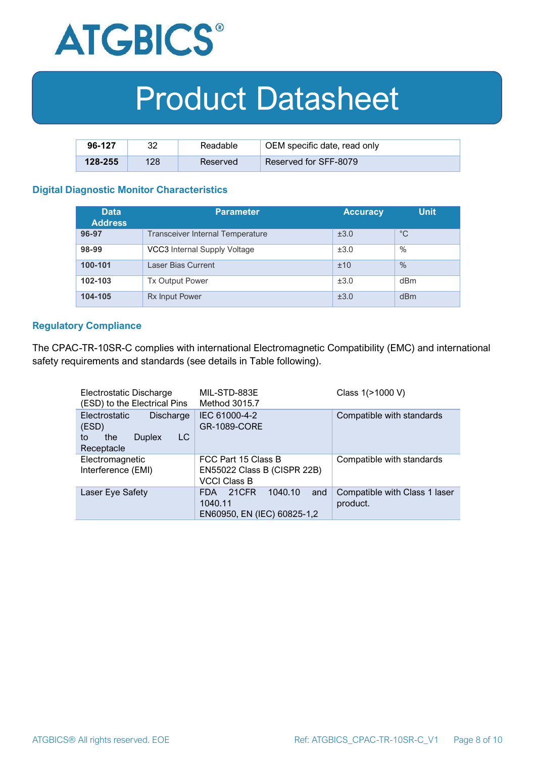

| 96-127      | າາ  | Readable | OEM specific date, read only |
|-------------|-----|----------|------------------------------|
| $128 - 255$ | 128 | Reserved | Reserved for SFF-8079        |

#### **Digital Diagnostic Monitor Characteristics**

| <b>Data</b><br><b>Address</b> | <b>Parameter</b>                        | <b>Accuracy</b> | Unit,       |
|-------------------------------|-----------------------------------------|-----------------|-------------|
| 96-97                         | <b>Transceiver Internal Temperature</b> | ±3.0            | $^{\circ}C$ |
| 98-99                         | VCC3 Internal Supply Voltage            | ±3.0            | %           |
| 100-101                       | Laser Bias Current                      | ±10             | $\%$        |
| 102-103                       | <b>Tx Output Power</b>                  | ±3.0            | dBm         |
| 104-105                       | <b>Rx Input Power</b>                   | ±3.0            | dBm         |

#### **Regulatory Compliance**

The CPAC-TR-10SR-C complies with international Electromagnetic Compatibility (EMC) and international safety requirements and standards (see details in Table following).

| Electrostatic Discharge<br>(ESD) to the Electrical Pins                                      | MIL-STD-883E<br>Method 3015.7                                                   | Class 1(>1000 V)                          |
|----------------------------------------------------------------------------------------------|---------------------------------------------------------------------------------|-------------------------------------------|
| <b>Electrostatic</b><br>Discharge<br>(ESD)<br>LC<br>the<br><b>Duplex</b><br>to<br>Receptacle | IEC 61000-4-2<br><b>GR-1089-CORE</b>                                            | Compatible with standards                 |
| Electromagnetic<br>Interference (EMI)                                                        | FCC Part 15 Class B<br>EN55022 Class B (CISPR 22B)<br><b>VCCI Class B</b>       | Compatible with standards                 |
| Laser Eye Safety                                                                             | 1040.10<br>21CFR<br><b>FDA</b><br>and<br>1040.11<br>EN60950, EN (IEC) 60825-1,2 | Compatible with Class 1 laser<br>product. |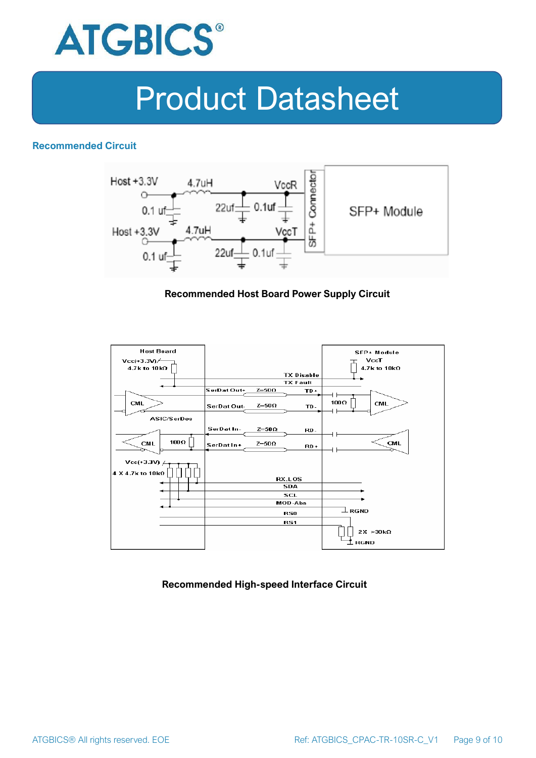

### **Recommended Circuit**



#### **Recommended Host Board Power Supply Circuit**



#### **Recommended High-speed Interface Circuit**